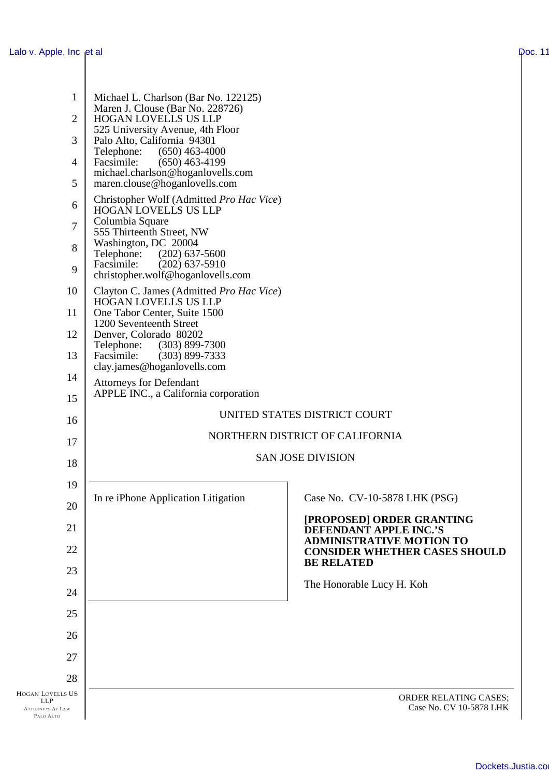$\parallel$ 

| 1<br>$\overline{2}$<br>3<br>$\overline{4}$<br>5                                     | Michael L. Charlson (Bar No. 122125)<br>Maren J. Clouse (Bar No. 228726)<br>HOGAN LOVELLS US LLP<br>525 University Avenue, 4th Floor<br>Palo Alto, California 94301<br>Telephone: (650) 463-4000<br>Facsimile:<br>$(650)$ 463-4199<br>michael.charlson@hoganlovells.com<br>maren.clouse@hoganlovells.com |                                                                  |
|-------------------------------------------------------------------------------------|----------------------------------------------------------------------------------------------------------------------------------------------------------------------------------------------------------------------------------------------------------------------------------------------------------|------------------------------------------------------------------|
| 6<br>7<br>8<br>9                                                                    | Christopher Wolf (Admitted Pro Hac Vice)<br><b>HOGAN LOVELLS US LLP</b><br>Columbia Square<br>555 Thirteenth Street, NW<br>Washington, DC 20004<br>Telephone:<br>$(202)$ 637-5600<br>Facsimile:<br>$(202)$ 637-5910                                                                                      |                                                                  |
| 10<br>11<br>12<br>13                                                                | christopher.wolf@hoganlovells.com<br>Clayton C. James (Admitted Pro Hac Vice)<br><b>HOGAN LOVELLS US LLP</b><br>One Tabor Center, Suite 1500<br>1200 Seventeenth Street<br>Denver, Colorado 80202<br>Telephone:<br>$(303)$ 899-7300<br>Facsimile:<br>$(303)$ 899-7333<br>clay.james@hoganlovells.com     |                                                                  |
| 14<br>15                                                                            | <b>Attorneys for Defendant</b><br>APPLE INC., a California corporation                                                                                                                                                                                                                                   | UNITED STATES DISTRICT COURT                                     |
| 16                                                                                  | NORTHERN DISTRICT OF CALIFORNIA                                                                                                                                                                                                                                                                          |                                                                  |
| 17                                                                                  |                                                                                                                                                                                                                                                                                                          | <b>SAN JOSE DIVISION</b>                                         |
| 18                                                                                  |                                                                                                                                                                                                                                                                                                          |                                                                  |
| 19                                                                                  | In re iPhone Application Litigation                                                                                                                                                                                                                                                                      | Case No. CV-10-5878 LHK (PSG)                                    |
| 20                                                                                  |                                                                                                                                                                                                                                                                                                          | [PROPOSED] ORDER GRANTING                                        |
| 21                                                                                  |                                                                                                                                                                                                                                                                                                          | <b>DEFENDANT APPLE INC.'S</b><br><b>ADMINISTRATIVE MOTION TO</b> |
| 22                                                                                  |                                                                                                                                                                                                                                                                                                          | <b>CONSIDER WHETHER CASES SHOULD</b><br><b>BE RELATED</b>        |
| 23                                                                                  |                                                                                                                                                                                                                                                                                                          | The Honorable Lucy H. Koh                                        |
| 24                                                                                  |                                                                                                                                                                                                                                                                                                          |                                                                  |
| 25                                                                                  |                                                                                                                                                                                                                                                                                                          |                                                                  |
| 26                                                                                  |                                                                                                                                                                                                                                                                                                          |                                                                  |
| 27                                                                                  |                                                                                                                                                                                                                                                                                                          |                                                                  |
| 28<br><b>HOGAN LOVELLS US</b><br><b>LLP</b><br><b>ATTORNEYS AT LAW</b><br>PALO ALTO |                                                                                                                                                                                                                                                                                                          | ORDER RELATING CASES;<br>Case No. CV 10-5878 LHK                 |